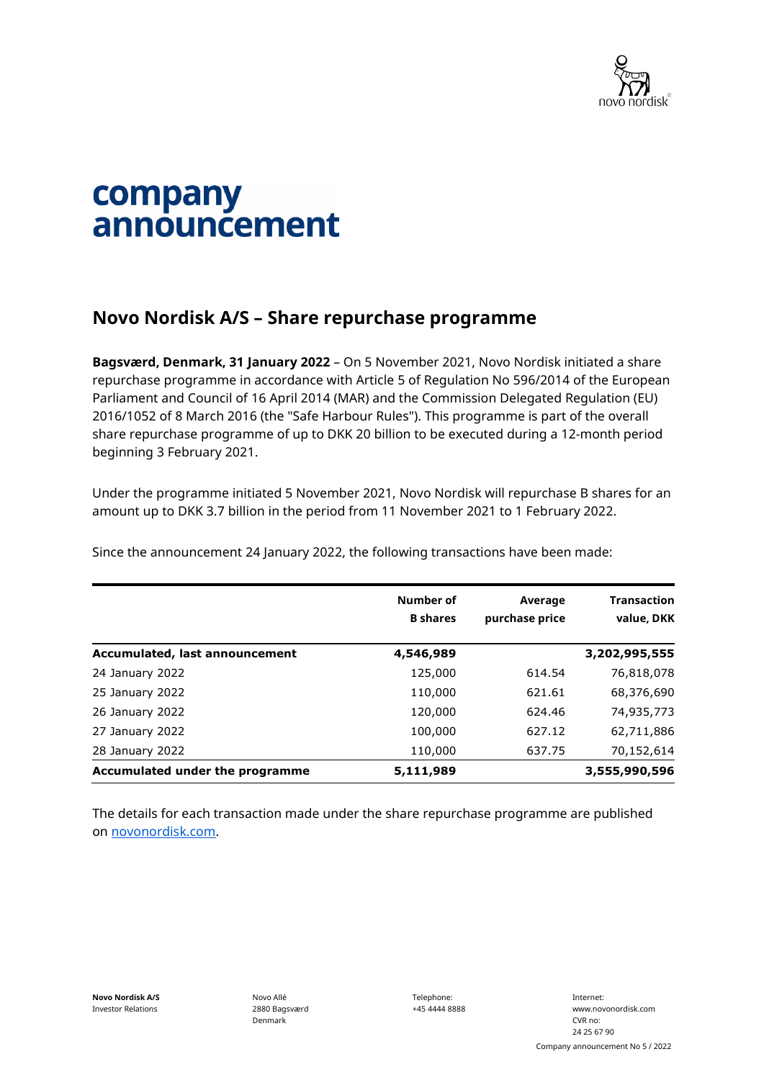

## company announcement

## **Novo Nordisk A/S – Share repurchase programme**

**Bagsværd, Denmark, 31 January 2022** – On 5 November 2021, Novo Nordisk initiated a share repurchase programme in accordance with Article 5 of Regulation No 596/2014 of the European Parliament and Council of 16 April 2014 (MAR) and the Commission Delegated Regulation (EU) 2016/1052 of 8 March 2016 (the "Safe Harbour Rules"). This programme is part of the overall share repurchase programme of up to DKK 20 billion to be executed during a 12-month period beginning 3 February 2021.

Under the programme initiated 5 November 2021, Novo Nordisk will repurchase B shares for an amount up to DKK 3.7 billion in the period from 11 November 2021 to 1 February 2022.

Since the announcement 24 January 2022, the following transactions have been made:

|                                 | Number of<br><b>B</b> shares | Average<br>purchase price | <b>Transaction</b><br>value, DKK |
|---------------------------------|------------------------------|---------------------------|----------------------------------|
| Accumulated, last announcement  | 4,546,989                    |                           | 3,202,995,555                    |
| 24 January 2022                 | 125,000                      | 614.54                    | 76,818,078                       |
| 25 January 2022                 | 110,000                      | 621.61                    | 68,376,690                       |
| 26 January 2022                 | 120,000                      | 624.46                    | 74,935,773                       |
| 27 January 2022                 | 100,000                      | 627.12                    | 62,711,886                       |
| 28 January 2022                 | 110,000                      | 637.75                    | 70,152,614                       |
| Accumulated under the programme | 5,111,989                    |                           | 3,555,990,596                    |

The details for each transaction made under the share repurchase programme are published on [novonordisk.com.](https://www.novonordisk.com/news-and-media/news-and-ir-materials.html)